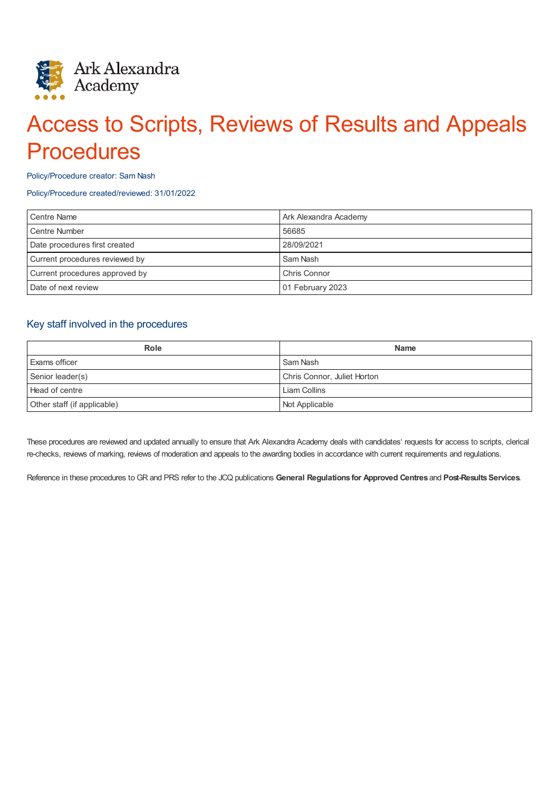

# Access to Scripts, Reviews of Results and Appeals **Procedures**

#### Policy/Procedure creator: Sam Nash

#### Policy/Procedure created/reviewed: 31/01/2022

| Centre Name                    | Ark Alexandra Academy |
|--------------------------------|-----------------------|
| Centre Number                  | 56685                 |
| Date procedures first created  | 28/09/2021            |
| Current procedures reviewed by | Sam Nash              |
| Current procedures approved by | Chris Connor          |
| Date of next review            | 01 February 2023      |

## Key staff involved in the procedures

| Role                        | <b>Name</b>                 |
|-----------------------------|-----------------------------|
| Exams officer               | Sam Nash                    |
| Senior leader(s)            | Chris Connor, Juliet Horton |
| Head of centre              | Liam Collins                |
| Other staff (if applicable) | Not Applicable              |

These procedures are reviewed and updated annually to ensure that Ark Alexandra Academy deals with candidates' requests for access to scripts, clerical re-checks, reviews of marking, reviews of moderation and appeals to the awarding bodies in accordance with current requirements and regulations.

Reference in these procedures to GR and PRS refer to the JCQ publications **General Regulations for Approved Centres** and **Post-ResultsServices**.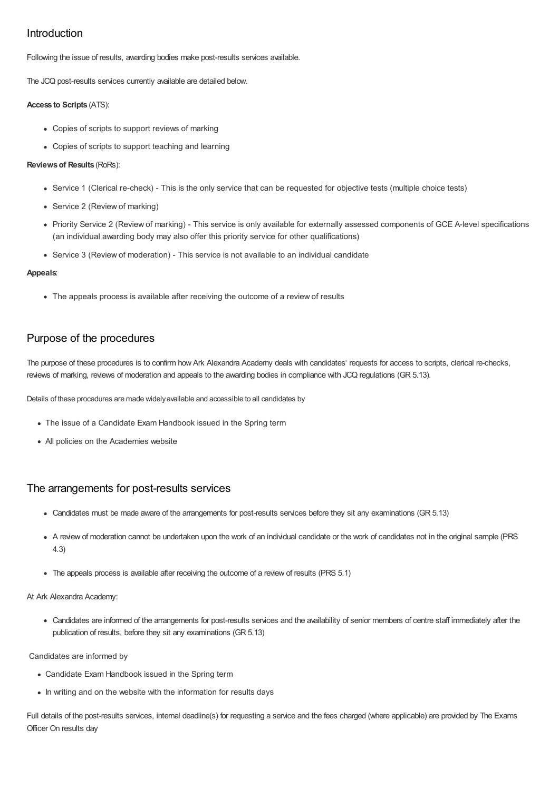# Introduction

Following the issue of results, awarding bodies make post-results services available.

The JCQ post-results services currently available are detailed below.

#### **Access to Scripts** (ATS):

- Copies of scripts to support reviews of marking
- Copies of scripts to support teaching and learning

### **Reviewsof Results** (RoRs):

- Service 1 (Clerical re-check) This is the only service that can be requested for objective tests (multiple choice tests)
- Service 2 (Review of marking)
- Priority Service 2 (Review of marking) This service is only available for externally assessed components of GCE A-level specifications (an individual awarding body may also offer this priority service for other qualifications)
- Service 3 (Review of moderation) This service is not available to an individual candidate

#### **Appeals**:

• The appeals process is available after receiving the outcome of a review of results

# Purpose of the procedures

The purpose of these procedures is to confirm how Ark Alexandra Academy deals with candidates' requests for access to scripts, clerical re-checks, reviews of marking, reviews of moderation and appeals to the awarding bodies in compliance with JCQ regulations (GR 5.13).

Details of these procedures are made widelyavailable and accessible to all candidates by

- The issue of a Candidate Exam Handbook issued in the Spring term
- All policies on the Academies website

## The arrangements for post-results services

- Candidates must be made aware of the arrangements for post-results services before they sit any examinations (GR 5.13)
- A review of moderation cannot be undertaken upon the work of an individual candidate or the work of candidates not in the original sample (PRS 4.3)
- The appeals process is available after receiving the outcome of a review of results (PRS 5.1)

#### At Ark Alexandra Academy:

Candidates are informed of the arrangements for post-results services and the availability of senior members of centre staff immediately after the publication of results, before they sit any examinations (GR 5.13)

Candidates are informed by

- Candidate Exam Handbook issued in the Spring term
- In writing and on the website with the information for results days

Full details of the post-results services, internal deadline(s) for requesting a service and the fees charged (where applicable) are provided by The Exams Officer On results day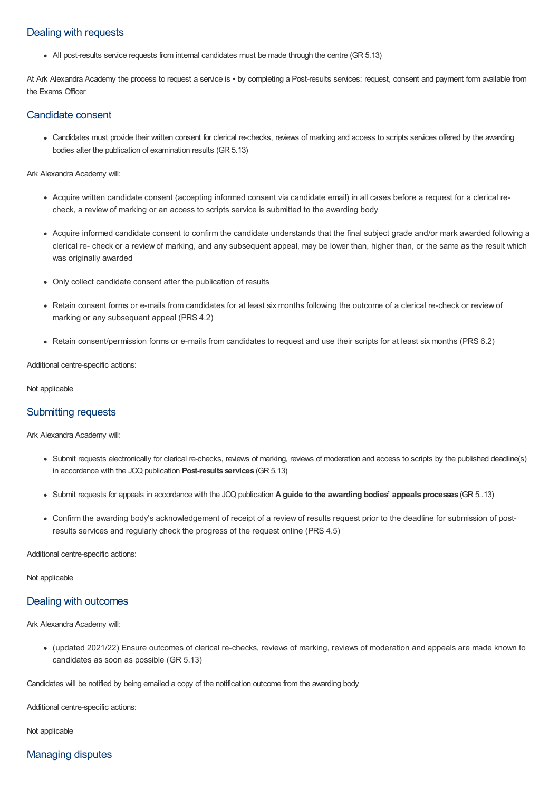## Dealing with requests

All post-results service requests from internal candidates must be made through the centre (GR 5.13)

At Ark Alexandra Academy the process to request a service is • by completing a Post-results services: request, consent and payment form available from the Exams Officer

## Candidate consent

Candidates must provide their written consent for clerical re-checks, reviews of marking and access to scripts services offered by the awarding bodies after the publication of examination results (GR 5.13)

Ark Alexandra Academy will:

- Acquire written candidate consent (accepting informed consent via candidate email) in all cases before a request for a clerical recheck, a review of marking or an access to scripts service is submitted to the awarding body
- Acquire informed candidate consent to confirm the candidate understands that the final subject grade and/or mark awarded following a clerical re- check or a review of marking, and any subsequent appeal, may be lower than, higher than, or the same as the result which was originally awarded
- Only collect candidate consent after the publication of results
- Retain consent forms or e-mails from candidates for at least six months following the outcome of a clerical re-check or review of marking or any subsequent appeal (PRS 4.2)
- Retain consent/permission forms or e-mails from candidates to request and use their scripts for at least six months (PRS 6.2)

Additional centre-specific actions:

Not applicable

## Submitting requests

Ark Alexandra Academy will:

- Submit requests electronically for clerical re-checks, reviews of marking, reviews of moderation and access to scripts by the published deadline(s) in accordance with the JCQ publication **Post-results services** (GR 5.13)
- Submit requests for appeals in accordance with the JCQ publication **A guide to the awarding bodies' appealsprocesses** (GR 5..13)
- Confirm the awarding body's acknowledgement of receipt of a review of results request prior to the deadline for submission of postresults services and regularly check the progress of the request online (PRS 4.5)

Additional centre-specific actions:

Not applicable

## Dealing with outcomes

Ark Alexandra Academy will:

(updated 2021/22) Ensure outcomes of clerical re-checks, reviews of marking, reviews of moderation and appeals are made known to candidates as soon as possible (GR 5.13)

Candidates will be notified by being emailed a copy of the notification outcome from the awarding body

Additional centre-specific actions:

Not applicable

## Managing disputes